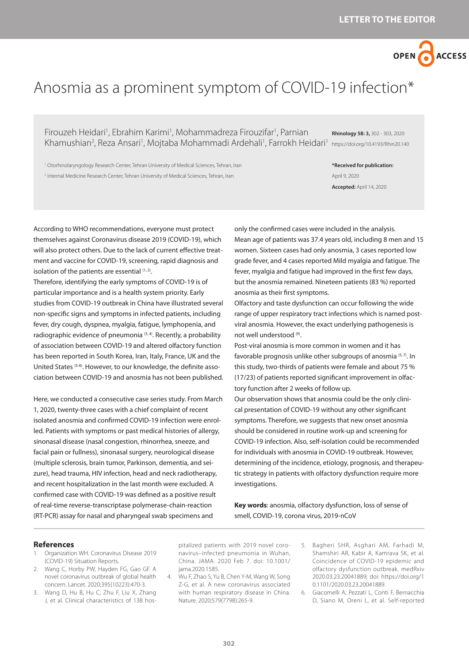

## Anosmia as a prominent symptom of COVID-19 infection\*

Firouzeh Heidari<sup>1</sup>, Ebrahim Karimi<sup>1</sup>, Mohammadreza Firouzifar<sup>1</sup>, Parnian Khamushian<sup>2</sup>, Reza Ansari<sup>1</sup>, Mojtaba Mohammadi Ardehali<sup>1</sup>, Farrokh Heidari<sup>1</sup> https://doi.org/10.4193/Rhin20.140

**Rhinology 58: 3,** 302 - 303, 2020

<sup>1</sup> Otorhinolaryngology Research Center, Tehran University of Medical Sciences, Tehran, Iran 2 Internal Medicine Research Center, Tehran University of Medical Sciences, Tehran, Iran

**\*Received for publication:** April 9, 2020 **Accepted:** April 14, 2020

According to WHO recommendations, everyone must protect themselves against Coronavirus disease 2019 (COVID-19), which will also protect others. Due to the lack of current effective treatment and vaccine for COVID-19, screening, rapid diagnosis and isolation of the patients are essential  $(1, 2)$ .

Therefore, identifying the early symptoms of COVID-19 is of particular importance and is a health system priority. Early studies from COVID-19 outbreak in China have illustrated several non-specific signs and symptoms in infected patients, including fever, dry cough, dyspnea, myalgia, fatigue, lymphopenia, and radiographic evidence of pneumonia  $(3, 4)$ . Recently, a probability of association between COVID-19 and altered olfactory function has been reported in South Korea, Iran, Italy, France, UK and the United States (5-8). However, to our knowledge, the definite association between COVID-19 and anosmia has not been published.

Here, we conducted a consecutive case series study. From March 1, 2020, twenty-three cases with a chief complaint of recent isolated anosmia and confirmed COVID-19 infection were enrolled. Patients with symptoms or past medical histories of allergy, sinonasal disease (nasal congestion, rhinorrhea, sneeze, and facial pain or fullness), sinonasal surgery, neurological disease (multiple sclerosis, brain tumor, Parkinson, dementia, and seizure), head trauma, HIV infection, head and neck radiotherapy, and recent hospitalization in the last month were excluded. A confirmed case with COVID-19 was defined as a positive result of real-time reverse-transcriptase polymerase-chain-reaction (RT-PCR) assay for nasal and pharyngeal swab specimens and

only the confirmed cases were included in the analysis. Mean age of patients was 37.4 years old, including 8 men and 15 women. Sixteen cases had only anosmia, 3 cases reported low grade fever, and 4 cases reported Mild myalgia and fatigue. The fever, myalgia and fatigue had improved in the first few days, but the anosmia remained. Nineteen patients (83 %) reported anosmia as their first symptoms.

Olfactory and taste dysfunction can occur following the wide range of upper respiratory tract infections which is named postviral anosmia. However, the exact underlying pathogenesis is not well understood (9).

Post-viral anosmia is more common in women and it has favorable prognosis unlike other subgroups of anosmia  $(5, 7)$ . In this study, two-thirds of patients were female and about 75 % (17/23) of patients reported significant improvement in olfactory function after 2 weeks of follow up.

Our observation shows that anosmia could be the only clinical presentation of COVID-19 without any other significant symptoms. Therefore, we suggests that new onset anosmia should be considered in routine work-up and screening for COVID-19 infection. Also, self-isolation could be recommended for individuals with anosmia in COVID-19 outbreak. However, determining of the incidence, etiology, prognosis, and therapeutic strategy in patients with olfactory dysfunction require more investigations.

**Key words**: anosmia, olfactory dysfunction, loss of sense of smell, COVID-19, corona virus, 2019-nCoV

## **References**

- 1. Organization WH. Coronavirus Disease 2019 (COVID-19) Situation Reports.
- 2. Wang C, Horby PW, Hayden FG, Gao GF. A novel coronavirus outbreak of global health concern. Lancet. 2020;395(10223):470-3.
- 3. Wang D, Hu B, Hu C, Zhu F, Liu X, Zhang J, et al. Clinical characteristics of 138 hos-

pitalized patients with 2019 novel coronavirus–infected pneumonia in Wuhan, China. JAMA. 2020 Feb 7. doi: 10.1001/ jama.2020.1585.

- 4. Wu F, Zhao S, Yu B, Chen Y-M, Wang W, Song Z-G, et al. A new coronavirus associated with human respiratory disease in China. Nature. 2020;579(7798):265-9.
- 5. Bagheri SHR, Asghari AM, Farhadi M, Shamshiri AR, Kabir A, Kamrava SK, et al. Coincidence of COVID-19 epidemic and olfactory dysfunction outbreak. medRxiv 2020.03.23.20041889; doi: https://doi.org/1 0.1101/2020.03.23.20041889.
- 6. Giacomelli A, Pezzati L, Conti F, Bernacchia D, Siano M, Oreni L, et al. Self-reported